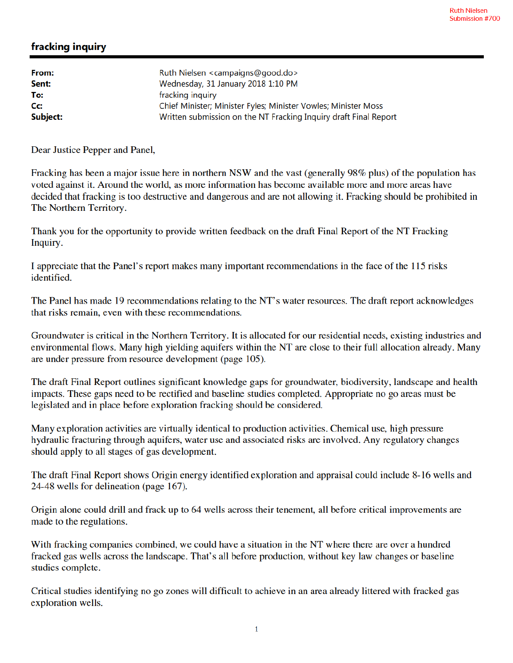## fracking inquiry

| From:    | Ruth Nielsen <campaigns@good.do></campaigns@good.do>             |
|----------|------------------------------------------------------------------|
| Sent:    | Wednesday, 31 January 2018 1:10 PM                               |
| To:      | fracking inquiry                                                 |
| Cc:      | Chief Minister; Minister Fyles; Minister Vowles; Minister Moss   |
| Subject: | Written submission on the NT Fracking Inquiry draft Final Report |

Dear Justice Pepper and Panel,

Fracking has been a major issue here in northern NSW and the vast (generally 98% plus) of the population has voted against it. Around the world, as more information has become available more and more areas have decided that fracking is too destructive and dangerous and are not allowing it. Fracking should be prohibited in The Northern Territory.

Thank you for the opportunity to provide written feedback on the draft Final Report of the NT Fracking Inquiry.

I appreciate that the Panel's report makes many important recommendations in the face of the 115 risks identified.

The Panel has made 19 recommendations relating to the NT's water resources. The draft report acknowledges that risks remain, even with these recommendations.

Groundwater is critical in the Northern Territory. It is allocated for our residential needs, existing industries and environmental flows. Many high yielding aquifers within the NT are close to their full allocation already. Many are under pressure from resource development (page 105).

The draft Final Report outlines significant knowledge gaps for groundwater, biodiversity, landscape and health impacts. These gaps need to be rectified and baseline studies completed. Appropriate no go areas must be legislated and in place before exploration fracking should be considered.

Many exploration activities are virtually identical to production activities. Chemical use, high pressure hydraulic fracturing through aquifers, water use and associated risks are involved. Any regulatory changes should apply to all stages of gas development.

The draft Final Report shows Origin energy identified exploration and appraisal could include 8-16 wells and 24-48 wells for delineation (page 167).

Origin alone could drill and frack up to 64 wells across their tenement, all before critical improvements are made to the regulations.

With fracking companies combined, we could have a situation in the NT where there are over a hundred fracked gas wells across the landscape. That's all before production, without key law changes or baseline studies complete.

Critical studies identifying no go zones will difficult to achieve in an area already littered with fracked gas exploration wells.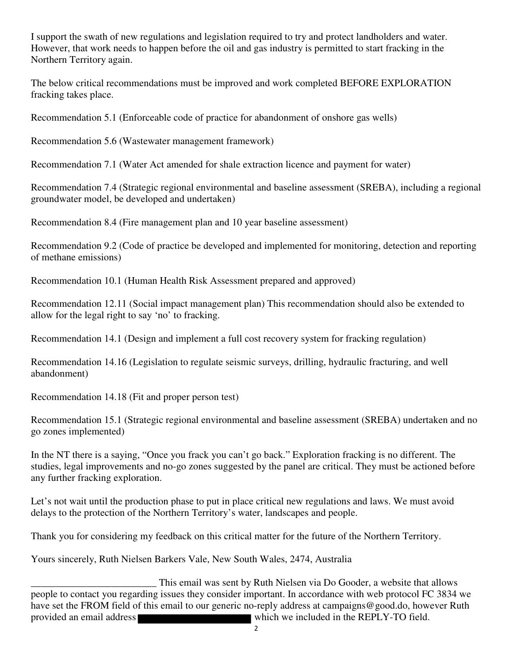I support the swath of new regulations and legislation required to try and protect landholders and water. However, that work needs to happen before the oil and gas industry is permitted to start fracking in the Northern Territory again.

The below critical recommendations must be improved and work completed BEFORE EXPLORATION fracking takes place.

Recommendation 5.1 (Enforceable code of practice for abandonment of onshore gas wells)

Recommendation 5.6 (Wastewater management framework)

Recommendation 7.1 (Water Act amended for shale extraction licence and payment for water)

Recommendation 7.4 (Strategic regional environmental and baseline assessment (SREBA), including a regional groundwater model, be developed and undertaken)

Recommendation 8.4 (Fire management plan and 10 year baseline assessment)

Recommendation 9.2 (Code of practice be developed and implemented for monitoring, detection and reporting of methane emissions)

Recommendation 10.1 (Human Health Risk Assessment prepared and approved)

Recommendation 12.11 (Social impact management plan) This recommendation should also be extended to allow for the legal right to say 'no' to fracking.

Recommendation 14.1 (Design and implement a full cost recovery system for fracking regulation)

Recommendation 14.16 (Legislation to regulate seismic surveys, drilling, hydraulic fracturing, and well abandonment)

Recommendation 14.18 (Fit and proper person test)

Recommendation 15.1 (Strategic regional environmental and baseline assessment (SREBA) undertaken and no go zones implemented)

In the NT there is a saying, "Once you frack you can't go back." Exploration fracking is no different. The studies, legal improvements and no-go zones suggested by the panel are critical. They must be actioned before any further fracking exploration.

Let's not wait until the production phase to put in place critical new regulations and laws. We must avoid delays to the protection of the Northern Territory's water, landscapes and people.

Thank you for considering my feedback on this critical matter for the future of the Northern Territory.

Yours sincerely, Ruth Nielsen Barkers Vale, New South Wales, 2474, Australia

This email was sent by Ruth Nielsen via Do Gooder, a website that allows<br>people to contact you regarding issues they consider important. In accordance with web protocol FC 3834 we have set the FROM field of this email to our generic no-reply address at campaigns@good.do, however Ruth provided an email address which we included in the REPLY-TO field.